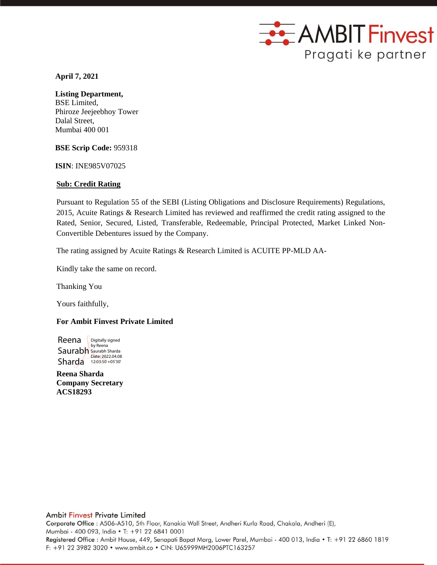

 **April 7, 2021**

### **Listing Department,** BSE Limited,

Phiroze Jeejeebhoy Tower Dalal Street, Mumbai 400 001

**BSE Scrip Code:** 959318

**ISIN**: INE985V07025

# **Sub: Credit Rating**

Pursuant to Regulation 55 of the SEBI (Listing Obligations and Disclosure Requirements) Regulations, 2015, Acuite Ratings & Research Limited has reviewed and reaffirmed the credit rating assigned to the Rated, Senior, Secured, Listed, Transferable, Redeemable, Principal Protected, Market Linked Non-Convertible Debentures issued by the Company.

The rating assigned by Acuite Ratings & Research Limited is ACUITE PP-MLD AA-

Kindly take the same on record.

Thanking You

Yours faithfully,

# **For Ambit Finvest Private Limited**

Reena Saurabh Saurabh Sharda Sharda 12:03:50 +05'30' Digitally signed by Reena

**Reena Sharda Company Secretary ACS18293**

Corporate Office : A506-A510, 5th Floor, Kanakia Wall Street, Andheri Kurla Road, Chakala, Andheri (E), Mumbai - 400 093, India • T: +91 22 6841 0001 Registered Office: Ambit House, 449, Senapati Bapat Marg, Lower Parel, Mumbai - 400 013, India . T: +91 22 6860 1819 F: +91 22 3982 3020 · www.ambit.co · CIN: U65999MH2006PTC163257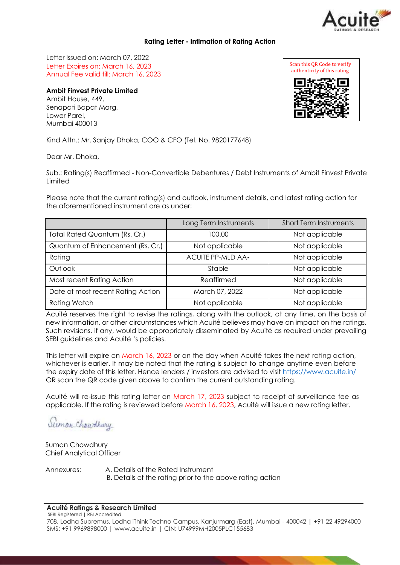

### **Rating Letter - Intimation of Rating Action**

Letter Issued on: March 07, 2022 Letter Expires on: March 16, 2023 Annual Fee valid till: March 16, 2023

## **Ambit Finvest Private Limited**

Ambit House, 449, Senapati Bapat Marg, Lower Parel, Mumbai 400013

Kind Attn.: Mr. Sanjay Dhoka, COO & CFO (Tel. No. 9820177648)

Dear Mr. Dhoka,

Sub.: Rating(s) Reaffirmed - Non-Convertible Debentures / Debt Instruments of Ambit Finvest Private Limited

Please note that the current rating(s) and outlook, instrument details, and latest rating action for the aforementioned instrument are as under:

|                                   | Long Term Instruments    | <b>Short Term Instruments</b> |
|-----------------------------------|--------------------------|-------------------------------|
| Total Rated Quantum (Rs. Cr.)     | 100.00                   | Not applicable                |
| Quantum of Enhancement (Rs. Cr.)  | Not applicable           | Not applicable                |
| Rating                            | <b>ACUITE PP-MLD AA-</b> | Not applicable                |
| Outlook                           | Stable                   | Not applicable                |
| Most recent Rating Action         | Reaffirmed               | Not applicable                |
| Date of most recent Rating Action | March 07, 2022           | Not applicable                |
| <b>Rating Watch</b>               | Not applicable           | Not applicable                |

Acuité reserves the right to revise the ratings, along with the outlook, at any time, on the basis of new information, or other circumstances which Acuité believes may have an impact on the ratings. Such revisions, if any, would be appropriately disseminated by Acuité as required under prevailing SEBI guidelines and Acuité 's policies.

This letter will expire on March 16, 2023 or on the day when Acuité takes the next rating action, whichever is earlier. It may be noted that the rating is subject to change anytime even before the expiry date of this letter. Hence lenders / investors are advised to visit [https://www.acuite.in/](http://www.acuite.in/) OR scan the QR code given above to confirm the current outstanding rating.

Acuité will re-issue this rating letter on March 17, 2023 subject to receipt of surveillance fee as applicable. If the rating is reviewed before March 16, 2023, Acuité will issue a new rating letter.

Suman Chaudhury

Suman Chowdhury Chief Analytical Officer

Annexures: A. Details of the Rated Instrument B. Details of the rating prior to the above rating action

#### **Acuité Ratings & Research Limited**

SEBI Registered | RBI Accredited 708, Lodha Supremus, Lodha iThink Techno Campus, Kanjurmarg (East), Mumbai - 400042 | +91 22 49294000 SMS: +91 9969898000 | [www.acuite.in](http://www.acuite.in/) | CIN: U74999MH2005PLC155683